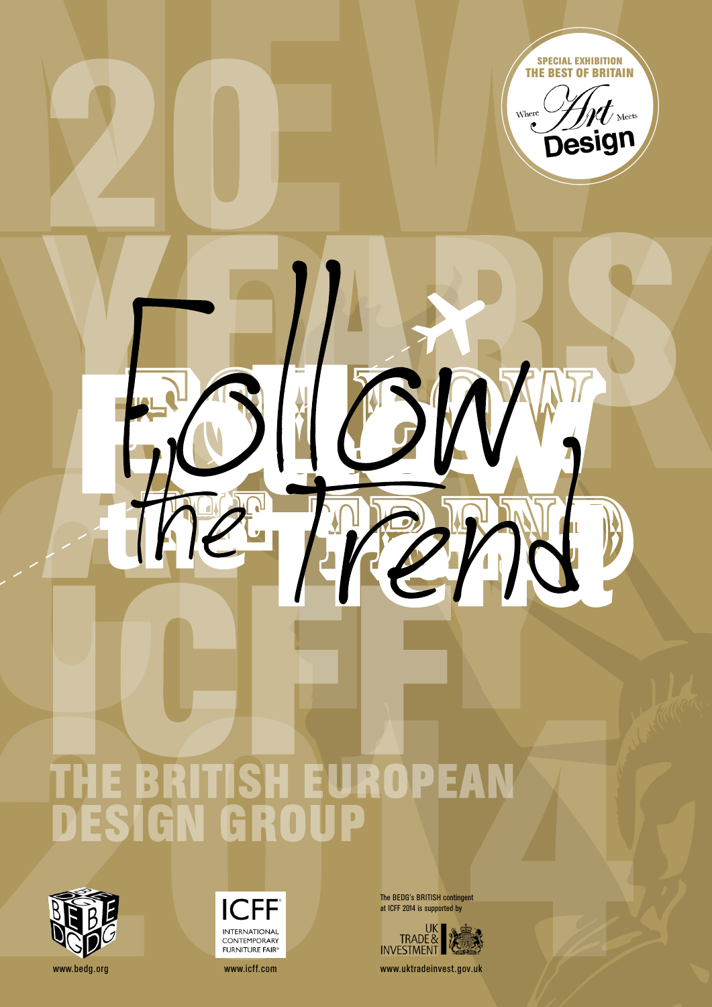The BEDG's BRITISH contingent at ICFF 2014 is supported by



www.bedg.org www.icff.com www.icff.com www.icff.com www.uktradeinvest.gov.uk



# THE BRITISH EUROPEAN<br>DESIGN GROUP



**ICFF INTERNATIONAL** CONTEMPORARY **FURNITURE FAIR®**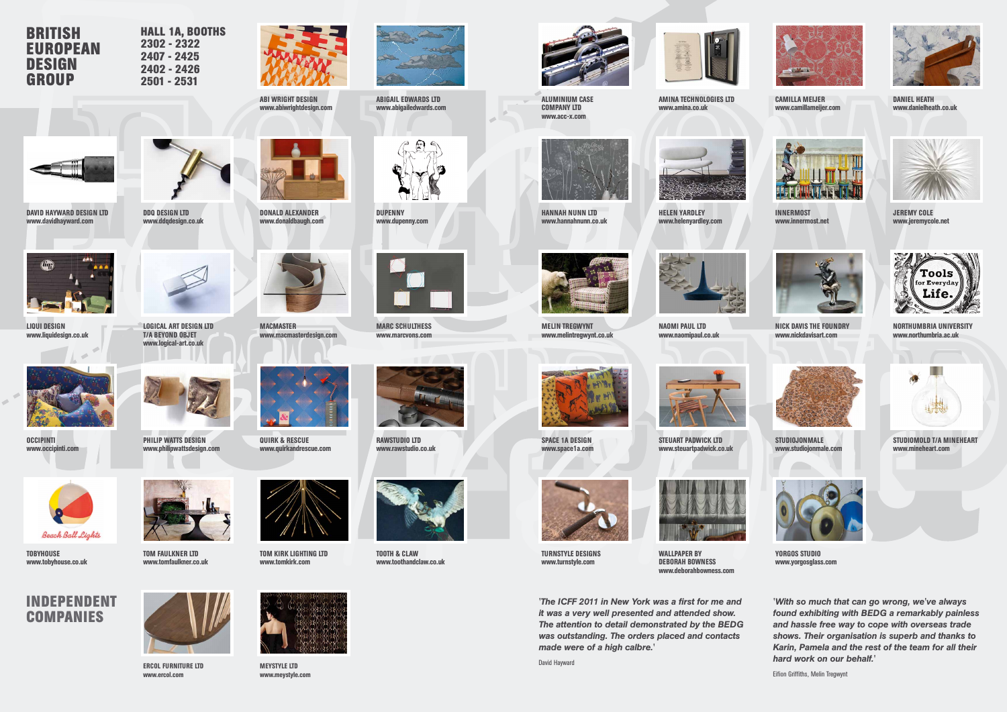*'The ICFF 2011 in New York was a first for me and it was a very well presented and attended show. The attention to detail demonstrated by the BEDG was outstanding. The orders placed and contacts made were of a high calbre.'*

David Hayward





**DUPENNY** www.dupenny.com

#### **BRITISH EUROPEAN DESIGN GROUP**

#### **INDEPENDENT COMPANIES**





AMINA TECHNOLOGIES LTD www.amina.co.uk



ABI WRIGHT DESIGN www.abiwrightdesign.com



CAMILLA MEIJER www.camillameijer.com

ABIGAIL EDWARDS LTD www.abigailedwards.com



PHILIP WATTS DESIGN www.philipwattsdesign.com





**OCCIPINTI** www.occipinti.com



DANIEL HEATH www.danielheath.co.uk



ALUMINIUM CASE COMPANY LTD www.acc-x.com





DAVID HAYWARD DESIGN LTD www.davidhayward.com



**TOBYHOUSE** www.tobyhouse.co.uk



HELEN YARDLEY www.helenyardley.com

DONALD ALEXANDER www.donaldbaugh.com



INNERMOST www.innermost.net



JEREMY COLE www.jeremycole.net



HANNAH NUNN LTD www.hannahnunn.co.uk



T/A BEYOND OBJET www.logical-art.co.uk



LIQUI DESIGN www.liquidesign.co.uk



NAOMI PAUL LTD www.naomipaul.co.uk

MACMASTER



www.macmasterdesign.com



NICK DAVIS THE FOUNDRY www.nickdavisart.com



MARC SCHULTHESS www.marcvons.com



NORTHUMBRIA UNIVERSITY www.northumbria.ac.uk



MELIN TREGWYNT www.melintregwynt.co.uk



STEUART PADWICK LTD www.steuartpadwick.co.uk



STUDIOJONMALE www.studiojonmale.com



RAWSTUDIO LTD www.rawstudio.co.uk



STUDIOMOLD T/A MINEHEART www.mineheart.com



SPACE 1A DESIGN www.space1a.com

QUIRK & RESCUE www.quirkandrescue.com



TOM KIRK LIGHTING LTD www.tomkirk.com

TOM FAULKNER LTD www.tomfaulkner.co.uk



WALLPAPER by DEBORAH BOWNESS www.deborahbowness.com



YORGOS STUDIO www.yorgosglass.com



TOOTH & CLAW www.toothandclaw.co.uk

ERCOL FURNITURE LTD www.ercol.com



TURNSTYLE DESIGNS www.turnstyle.com



MEYSTYLE LTD www.meystyle.com

**HALL 1A, BOOTHS 2302 - 2322 2407 - 2425 2402 - 2426 2501 - 2531**